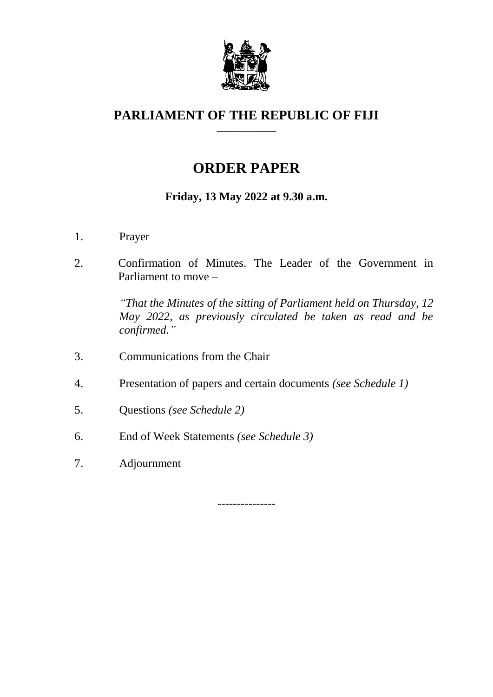

#### **PARLIAMENT OF THE REPUBLIC OF FIJI \_\_\_\_\_\_\_\_\_\_\_\_\_**

# **ORDER PAPER**

## **Friday, 13 May 2022 at 9.30 a.m.**

- 1. Prayer
- 2. Confirmation of Minutes. The Leader of the Government in Parliament to move –

*"That the Minutes of the sitting of Parliament held on Thursday, 12 May 2022, as previously circulated be taken as read and be confirmed."*

- 3. Communications from the Chair
- 4. Presentation of papers and certain documents *(see Schedule 1)*
- 5. Questions *(see Schedule 2)*
- 6. End of Week Statements *(see Schedule 3)*
- 7. Adjournment

---------------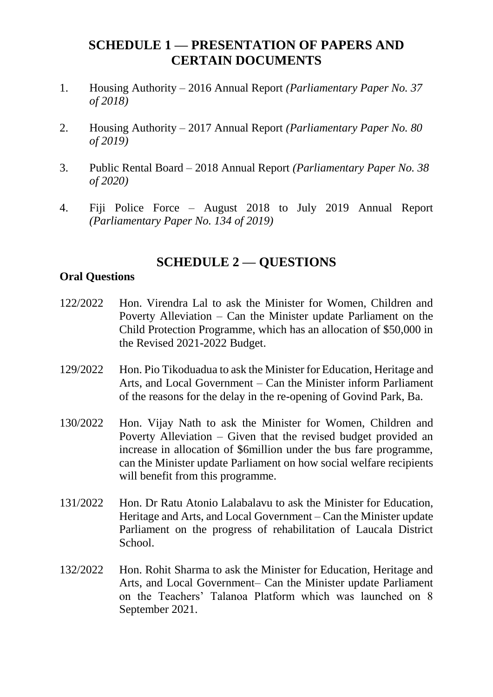#### **SCHEDULE 1 — PRESENTATION OF PAPERS AND CERTAIN DOCUMENTS**

- 1. Housing Authority 2016 Annual Report *(Parliamentary Paper No. 37 of 2018)*
- 2. Housing Authority 2017 Annual Report *(Parliamentary Paper No. 80 of 2019)*
- 3. Public Rental Board 2018 Annual Report *(Parliamentary Paper No. 38 of 2020)*
- 4. Fiji Police Force August 2018 to July 2019 Annual Report *(Parliamentary Paper No. 134 of 2019)*

## **SCHEDULE 2 — QUESTIONS**

#### **Oral Questions**

- 122/2022 Hon. Virendra Lal to ask the Minister for Women, Children and Poverty Alleviation – Can the Minister update Parliament on the Child Protection Programme, which has an allocation of \$50,000 in the Revised 2021-2022 Budget.
- 129/2022 Hon. Pio Tikoduadua to ask the Minister for Education, Heritage and Arts, and Local Government – Can the Minister inform Parliament of the reasons for the delay in the re-opening of Govind Park, Ba.
- 130/2022 Hon. Vijay Nath to ask the Minister for Women, Children and Poverty Alleviation – Given that the revised budget provided an increase in allocation of \$6million under the bus fare programme, can the Minister update Parliament on how social welfare recipients will benefit from this programme.
- 131/2022 Hon. Dr Ratu Atonio Lalabalavu to ask the Minister for Education, Heritage and Arts, and Local Government – Can the Minister update Parliament on the progress of rehabilitation of Laucala District School.
- 132/2022 Hon. Rohit Sharma to ask the Minister for Education, Heritage and Arts, and Local Government– Can the Minister update Parliament on the Teachers' Talanoa Platform which was launched on 8 September 2021.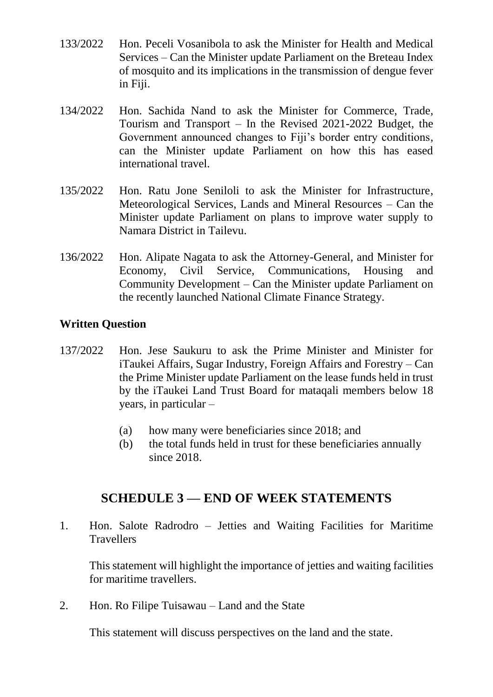- 133/2022 Hon. Peceli Vosanibola to ask the Minister for Health and Medical Services – Can the Minister update Parliament on the Breteau Index of mosquito and its implications in the transmission of dengue fever in Fiji.
- 134/2022 Hon. Sachida Nand to ask the Minister for Commerce, Trade, Tourism and Transport – In the Revised 2021-2022 Budget, the Government announced changes to Fiji's border entry conditions, can the Minister update Parliament on how this has eased international travel.
- 135/2022 Hon. Ratu Jone Seniloli to ask the Minister for Infrastructure, Meteorological Services, Lands and Mineral Resources – Can the Minister update Parliament on plans to improve water supply to Namara District in Tailevu.
- 136/2022 Hon. Alipate Nagata to ask the Attorney-General, and Minister for Economy, Civil Service, Communications, Housing and Community Development – Can the Minister update Parliament on the recently launched National Climate Finance Strategy.

#### **Written Question**

- 137/2022 Hon. Jese Saukuru to ask the Prime Minister and Minister for iTaukei Affairs, Sugar Industry, Foreign Affairs and Forestry – Can the Prime Minister update Parliament on the lease funds held in trust by the iTaukei Land Trust Board for mataqali members below 18 years, in particular –
	- (a) how many were beneficiaries since 2018; and
	- (b) the total funds held in trust for these beneficiaries annually since 2018.

# **SCHEDULE 3 — END OF WEEK STATEMENTS**

1. Hon. Salote Radrodro – Jetties and Waiting Facilities for Maritime **Travellers** 

This statement will highlight the importance of jetties and waiting facilities for maritime travellers.

2. Hon. Ro Filipe Tuisawau – Land and the State

This statement will discuss perspectives on the land and the state.